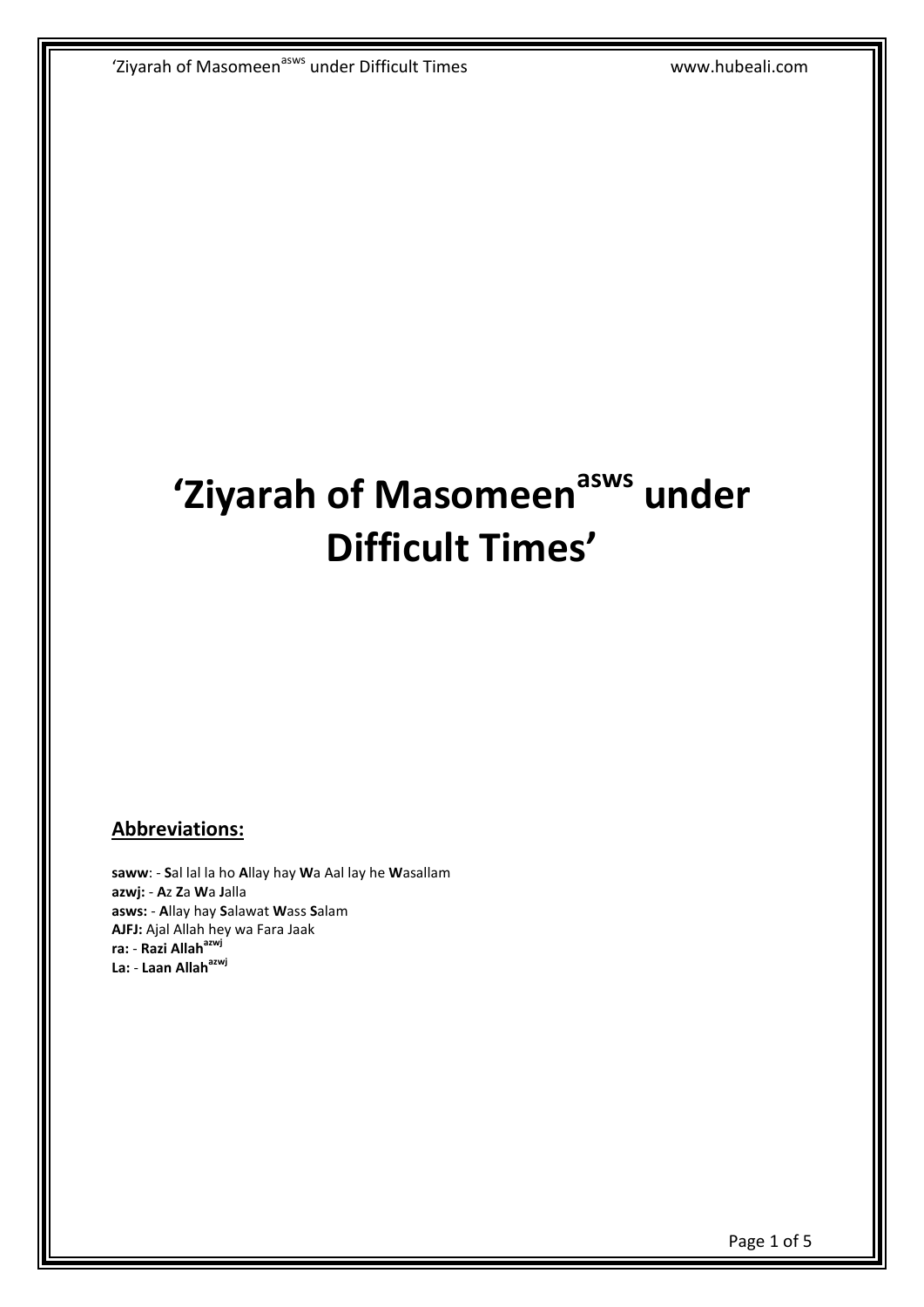## **'Ziyarah of Masomeenasws under Difficult Times'**

## **Abbreviations:**

**saww**: - **S**al lal la ho **A**llay hay **W**a Aal lay he **W**asallam **azwj:** - **A**z **Z**a **W**a **J**alla **asws:** - **A**llay hay **S**alawat **W**ass **S**alam **AJFJ:** Ajal Allah hey wa Fara Jaak **ra:** - **Razi Allahazwj La:** - **Laan Allahazwj**

Page 1 of 5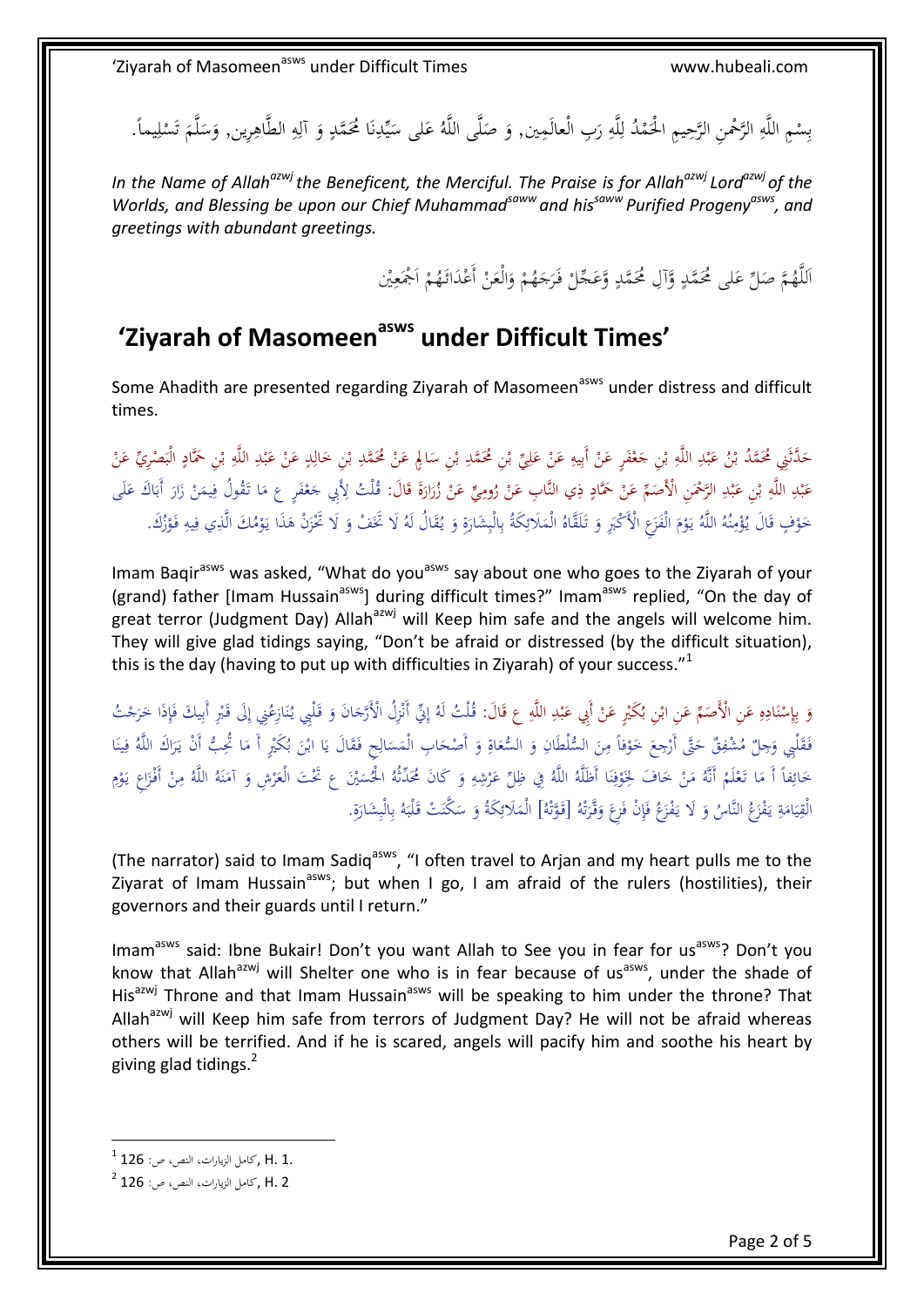بِسْمِ اللَّهِ الرَّحْمنِ الرَّحِيمِ الْحَمْدُ لِلَّهِ رَبِ الْعالَمِين, وَ صَلَّى اللَّهُ عَلَى سَيِّدِنَا مُحَمَّدٍ وَ آلِهِ الطَّاهِرِين, وَسَلَّمَ تَسْلِيماً. ْ ب ِ ِ ا ل ا<br>ا .<br>. َ لَّ  $\overline{\phantom{a}}$ ى<br>ا ِ ِ َ **ٍ** .<br>. ن ِ ي ليو.  $\ddot{\phantom{0}}$ ِ ا  $\ddot{\phantom{0}}$ َ  $\downarrow$ ْ ت

*In the Name of Allahazwjthe Beneficent, the Merciful. The Praise is for Allahazwj Lordazwj of the Worlds, and Blessing be upon our Chief Muhammadsaww and hissaww Purified Progenyasws, and greetings with abundant greetings.*

> ا .<br>ا ا ْ اللَّهُمَّ صَلِّ عَلى مُحَمَّدٍ وَّآلِ مُحَمَّدٍ وَّعَجِّلْ فَرَجَهُمْ وَالْعَنْ أَعْدَائَهُمْ اَجْمَعِيْن ٔ<br>ا ْ َ ْ َ َ  $\ddot{\phantom{0}}$  $\overline{a}$ **ٍ** گ<br>ا  $\frac{1}{2}$ ِ

## **'Ziyarah of Masomeenasws under Difficult Times'**

Some Ahadith are presented regarding Ziyarah of Masomeen<sup>asws</sup> under distress and difficult times.

حَدَّثَنِي مُحَمَّدُ بْنُ عَبْدِ اللَّهِ بْنِ حَعْفَرٍ عَنْ أَبِيهِ عَنْ عَلِيِّ بْنِ مُحَمَّدِ بْنِ سَالِمٍ عَنْ مُحَمَّدِ بْنِ خَالِدٍ عَنْ عَبْدِ اللَّهِ بْنِ حَمَّادٍ الْبَصْرِيِّ عَنْ ْ ب ِ ا<br>ا ب ؚۣ<br>ڸ َ ْ ِ ِ ْ َ ْ َ ْ ب ِ ِ **ٔ** ب َ ب َ .<br>⇒ ْ ب ً ِ **ٔ** ب </sub> .<br>ا .<br>∍ ِ َ ا<br>ا ب ِ .<br>أ ِ ٔ<br>أ عَبْدِ اللَّهِ بْنِ عَبْدِ الرَّحْمَنِ الْأَصَمِّ عَنْ حَمَّادٍ ذِي النَّابِ عَنْ رُومِيٍّ عَنْ زُرَارَةَ قَالَ: قُلْتُ لِأَبِي جَعْفَرٍ ع مَا تَقُولُ فِيمَنْ زَارَ أَبَاكَ عَلَى َ َ َ ْ ِ<br>∕ .<br>أ ِ .<br>; ٔ<br>ا ِ .<br>أ ب ي<br>ا ْ ب ِ ِ .<br>. ب َ َ َ .<br>ا ٍ<sup>م</sup> ِ َ .<br>م **ٔ** َ </sub> َ ب حَوْفٍ قَالَ يُؤْمِنُهُ اللَّهُ يَوْمَ الْفَزَعِ الْأَكْبَرِ وَ تَلَقَّاهُ الْمَلَائِكَةُ بِالْبِشَارَةِ وَ يُقَالُ لَهُ لَا تَخَفْ وَ لَا تَخْزَنْ هَذَا يَوْمُكَ الَّذِي فِيهِ فَوْزُكَ. نم<br>عم َ َ ِ ِ ب ِ َ <u>:</u> َ יִ<br>י َ َ **ٔ** ا<br>ا ن ∫<br>∧ <u>ا</u> .<br>أ **ٔ** َ ِ<br>ا ِ ِ **ٔ** اب<br>ا َ َ

Imam Baqir<sup>asws</sup> was asked, "What do you<sup>asws</sup> say about one who goes to the Ziyarah of your (grand) father [Imam Hussain<sup>asws</sup>] during difficult times?" Imam<sup>asws</sup> replied, "On the day of great terror (Judgment Day) Allah<sup>azwj</sup> will Keep him safe and the angels will welcome him. They will give glad tidings saying, "Don't be afraid or distressed (by the difficult situation), this is the day (having to put up with difficulties in Ziyarah) of your success." $1$ 

وَ بِإِسْنَادِهِ عَنِ الْأَصَمِّ عَنِ ابْنِ بُكَيْرٍ عَنْ أَبِي عَبْدِ اللَّهِ ع قَالَ: قُلْتُ لَهُ إِنِّي أَنْزِلُ الْأَرَّجَانَ وَ قَلْبِي يُنَازِعُنِي إِلَى قَبْرِ أَبِيكَ فَإِذَا خَرَجْتُ ا<br>ا </sub> ِ ∫, ٔ<br>ا ن **ٔ** ِ ب َ ْ ْ </sub> َ ِ ِ .<br>أ ب </sub> ْ ُ<br>ن َ ِ َ ي ِ ٍ<br>پ ْ ِ ا<br>أ ن َ َ :<br>ا اِ إ فَقَلْبِي وَجِلٌ مُشْفِقٌ حَتَّى أَرْجِعَ خَوْفاً مِنَ السُّلْطَانِ وَ السُّعَاةِ وَ أَصْحَابِ الْمَسَالِحِ فَقَالَ يَا ابْنَ بُكَيْرٍ أَ مَا تُحِبُّ أَنْ يَرَاكَ اللَّهُ فِينَا َ َ ِ َ َ َ ِ **ٔ** َ َ ِ َ ان<br>ا ِ ا َ لي.<br>ا ام<br>ا ٍ ْ و<br>ب َ پ<br>ا ة<br>م ٔ<br>ا حَائِفاً أَ مَا تَعْلَمُ أَنَّهُ مَنْ خَافَ لِخَوْفِنَا أَظَلَّهُ اللَّهُ فِي ظِلِّ عَرْشِهِ وَ كَانَ مُحَلَّتُهُ الْحُسَيْنَ عِ تَحْتَ الْعَرْشِ وَ آمَنَهُ اللَّهُ مِنْ أَفْزَاعِ يَوْم<br>الْقِيَامَةِ يَفْزَعُ النَّاسُ وَ ل َ َ ِ .<br>ا ر<br>ا ا<br>ا ن ِ <u>ٔ</u> َ ام<br>ا **ٔ** ام<br>ا ِ َ ֘֒ <u>ٔ</u> ِ<br>ृ ان<br>ا ن ام<br>ا َ ر<br>ا َ ِ ،<br>' يا<br>ا َ الْقِيَامَةِ يَفْزَعُ النَّاسُ وَ لَا يَفْزَعُ فَإِنْ فَزِعَ وَقَّرَتْهُ [قَوَّتْهُ] الْمَلَائِكَةُ وَ سَكَّنَتْ قَلْبَهُ بِالْبِشَارَةِ. ت َ َ َ َ ِ ا<br>أ َ َ َ َ ا<br>ا ي ِ َ ِ ِ ب ا<br>ا ا<br>ا َ ِ َ

(The narrator) said to Imam Sadiq<sup>asws</sup>, "I often travel to Arjan and my heart pulls me to the Ziyarat of Imam Hussain<sup>asws</sup>; but when I go, I am afraid of the rulers (hostilities), their governors and their guards until I return."

Imam<sup>asws</sup> said: Ibne Bukair! Don't you want Allah to See you in fear for us<sup>asws</sup>? Don't you know that Allah<sup>azwj</sup> will Shelter one who is in fear because of us<sup>asws</sup>, under the shade of His<sup>azwj</sup> Throne and that Imam Hussain<sup>asws</sup> will be speaking to him under the throne? That Allah<sup>azwj</sup> will Keep him safe from terrors of Judgment Day? He will not be afraid whereas others will be terrified. And if he is scared, angels will pacify him and soothe his heart by giving glad tidings.<sup>2</sup>

 1 1. .H ,كاملِالزياراتِ،النصِ،ص126ِ:

 $^2$  21 ,كاملِ الزيارات، النص، ص: 126  $^2$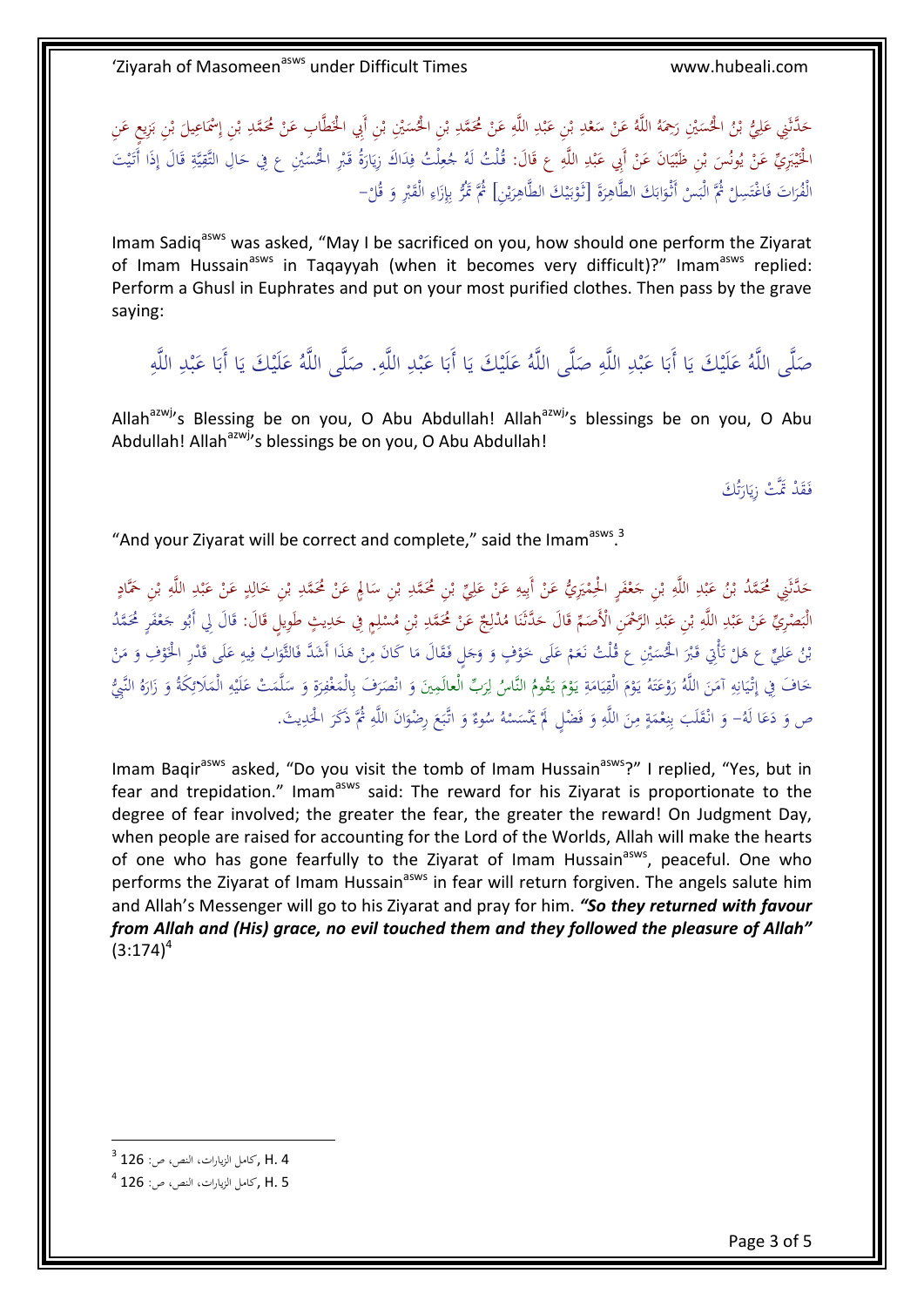حَدَّثَنِي عَلِيُّ بْنُ الْحُسَيْنِ رَحِمَهُ اللَّهُ عَنْ سَعْدِ بْنِ عَبْدِ اللَّهِ عَنْ مُحَمَّدِ بْنِ الْحُسَيْنِ بْنِ أَبِي الْحَطَّابِ عَنْ مُحَمَّدِ بْنِ إِسْمَاعِيلَ بْنِ بَزِيعٍ عَنِ ا<br>ا ب ْ ب ∫ **ٔ** ِ ِ **ٔ** ب ي<br>ا **ٔ** ب ِ **ٔ** ٔ<br>ا ا ب ِ َ َ ب ∫ <u>:</u> َ ان<br>ا ا<br>ا ب  $\overline{\phantom{0}}$ َ ِ إ الْخَيْبَرِيِّ عَنْ يُونُسَ بْنِ ظُبْيَانَ عَنْ أَبِي عَبْدِ اللَّهِ ع قَالَ: قُلْتُ لَهُ جُعِلْتُ فِدَاكَ زِيَارَةُ قَبْرِ الْحُسَيْنِ ع فِي حَالِ التَّقِيَّةِ قَالَ إِذَا أَتَيْتَ<br>. َ ِ ِ **ٔ** ب </sub> **ٔ** ا<br>ا ي **ٔ** ْ ب ً<br>ا ي ْ ِ ال<br>ا ي َ ي َ اٍ َ ¦ ي ِ َ ∫<br>J ْ َ یا<br>ا ا ا<br>ا ِ لْ ِ َ الْفُرَاتَ فَاغْتَسِلْ ثُمَّ الْبَسْ أَثْوَابَكَ الطَّاهِرَةَ [نَّوْبَيْكَ الطَّاهِرَيْنِ] ثُمَّ تَمُّرُ بِإِزَاءِ الْقَبْرِ وَ قُلْ– <u>ّ</u> **ٔ** ن<br>ا ا َ ْ ي َ ِ ي بر<br>ا َ ِ **ٔ** َ ْ ِ َ ِ ِ<br>پ ب

Imam Sadiq<sup>asws</sup> was asked, "May I be sacrificed on you, how should one perform the Ziyarat of Imam Hussain<sup>asws</sup> in Taqayyah (when it becomes very difficult)?" Imam<sup>asws</sup> replied: Perform a Ghusl in Euphrates and put on your most purified clothes. Then pass by the grave saying:

صَلَّى اللَّهُ عَلَيْكَ يَا أَبَا عَبْدِ اللَّهِ صَلَّى اللَّهُ عَلَيْكَ يَا أَبَا عَبْدِ اللَّهِ. صَلَّى اللَّهُ عَلَيْكَ يَا أَبَا عَبْدِ اللَّهِ ِ **ٔ** ب ا<br>أ با<br>ا یا<br>ا ا<br>أ َ .<br>أ ب ا<br>ک با<br>ا ِيا<br>ـ ا<br>ک َ ب </sub><br>گ با<br>ا يا<br>ا ا<br>أ َ

Allah<sup>azwj</sup>'s Blessing be on you, O Abu Abdullah! Allah<sup>azwj</sup>'s blessings be on you, O Abu Abdullah! Allah<sup>azwj</sup>'s blessings be on you, O Abu Abdullah!

> فَقَدْ مَّتْ زِيَارَتُكَ ت َ پا<br>ا

"And your Ziyarat will be correct and complete," said the Imam<sup>asws</sup>.<sup>3</sup>

حَدَّثَنِي مُحَمَّدُ بْنُ عَبْدِ اللَّهِ بْنِ حَعْفَرٍ الْحِمْيَرِيُّ عَنْ أَبِيهِ عَنْ عَلِيٍّ بْنِ مُحَمَّدِ بْنِ سَالِمٍ عَنْ مُحَمَّدِ بْنِ خَارِدٍ عَنْ عَبْدِ اللَّهِ بْنِ حَمَّادٍ<br>-َ <u>:</u> ِ ٔ<br>ا **ٔ** ب ∫ ْ ب ِ َ ْ ِ ِ ْ ِ יִ<br>: .<br>م **ٔ** َ ْ ب ِ ِ .<br>أ ب ي<br>ا ب .<br>∍ ْ ب ِ ∫ **ٔ** ب </sub> <u>:</u> .<br>∙ ِ َ اب<br>ا ب ِ الْبَصْرِيِّ عَنْ عَبْدِ اللَّهِ بْنِ عَبْدِ الرَّحْمَنِ الْأَصَمِّ قَالَ حَدَّثَنَا مُدْلِجٌ عَنْ مُحَمَّدٍ م<br>الْبَصْرِيِّ عَنْ عَبْدِ اللَّهِ بْنِ عَبْدِ الرَّحْمَنِ الْأَصَمِّ قَالَ حَدَّثَنَا مُدْلِجٌ عَنْ مُحَمَّدٌ م َ ا<br>ا ∫ .<br>أ ب َ ْ ب ِ ِ **ٔ** ب ِ<br>گ ْ َ ي ِ َ ِ ا<br>ا اب<br>ا ب ِ ْ ِ .<br>أ َ .<br>م ْ َ َ َ بْنُ عَلِيٍّ ع هَلْ تَأْتِي قَبْرَ الْحُسَيْنِ ع قُلْتُ نَعَمْ عَلَى خَوْفٍ وَ وَجَلٍ فَقَالَ مَا كَانَ مِنْ هَذَا أَشَدَّ فَالثَّوَابُ فِيهِ عَلَى قَدْرِ الْخَوْفِ وَ مَنْ<br>. َ ْ ِ<br>ٌ ام<br>ا نم<br>عم َ َ َ ،<br>' َ ر<br>د <sup>1</sup> َ ِّ ا ْ :<br>ا ت <sup>أ</sup> ؚۣ<br>ڸ َ َ ِ ِ ا َ .<br>ا ام<br>ا َ **ٔ** ِ حَافَ فِي إِتْيَانِهِ آمَنَ اللَّهُ رَوْعَتَهُ يَوْمَ الْقِيَامَةِ يَوْمَ يَقُومُ النَّاسُ لِرَبِّ الْعالَمِينَ وَ انْصَرَفَ بِالْمَغْفِرَةِ وَ سَلَّمَتْ عَلَيْهِ الْمَلَائِكَةُ وَ زَارَهُ النَّبِيُّ ام<br>ا ا<br>ا ي ِ َ **ٔ** َ َ ت ُ<br>ٌ <u>ٔ</u> َ َ َ ِ ِ ا<br>ا ي :<br>ا ِ َ َ ِ ل َ َ **ٔ** با<br>ا َ َ َ ِ ٍ<br>م ً **ٔ** ء<br>ا ا<br>ا َ َ ِ **ै** ِ َ ام<br>ا َ ص وَ دَعَا لَهُ– وَ انْقَلَبَ بِنِعْمَةٍ مِنَ اللَّهِ وَ فَضْلٍ لَمْ يَمْسَسْهُ سُوءٌ وَ اتَّبَعَ رِضْوَانَ اللَّهِ ثُمَّ ذَكَرَ الْحَدِيثَ. َ َ ∫ َ ֚֚֚֬ .<br>أ َ ∫<br>} ا َ  $\zeta$ َ َ ا<br>ا ا<br>ا **أ** َ ِ َ ∫<br>∧ *<u>2</u>* ا<br>ا **ٔ** ∫<br>U ن ِ ب َ

Imam Baqir<sup>asws</sup> asked, "Do you visit the tomb of Imam Hussain<sup>asws</sup>?" I replied, "Yes, but in fear and trepidation." Imam<sup>asws</sup> said: The reward for his Zivarat is proportionate to the degree of fear involved; the greater the fear, the greater the reward! On Judgment Day, when people are raised for accounting for the Lord of the Worlds, Allah will make the hearts of one who has gone fearfully to the Ziyarat of Imam Hussain<sup>asws</sup>, peaceful. One who performs the Ziyarat of Imam Hussain<sup>asws</sup> in fear will return forgiven. The angels salute him and Allah's Messenger will go to his Ziyarat and pray for him. *"So they returned with favour from Allah and (His) grace, no evil touched them and they followed the pleasure of Allah"*  $(3:174)^4$ 

 3 4 .H ,كاملِالزياراتِ،النصِ،ص126ِ:

 $^4$  126 , كامل الزيارات، النص، ص: 126 $\,$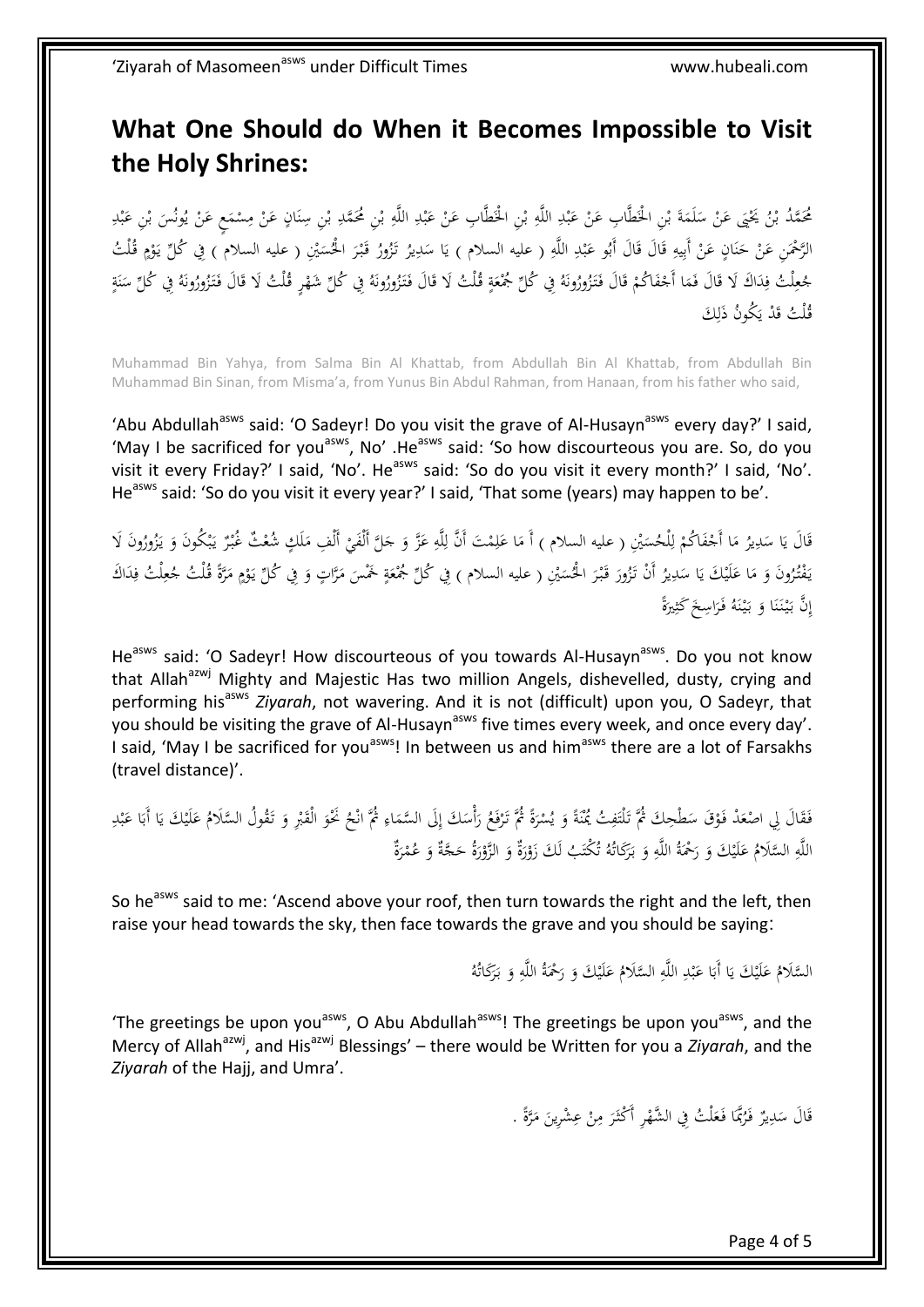## **What One Should do When it Becomes Impossible to Visit the Holy Shrines:**

<u>َ</u> مُحَمَّدُ بْنُ يَحْيَى عَنْ سَلَمَةَ بْنِ الْحَطَّابِ عَنْ عَبْدِ اللَّهِ بْنِ الْحَطَّابِ عَنْ عَبْدِ اللَّهِ بْنِ مُحَمَّدِ بْنِ سِنَانٍ عَنْ مِسْمَعٍ عَنْ يُونُسَ بْنِ عَبْدِ ْ ب ِ ِ .<br>. ب َ ْ ْ ب َ ا<br>ا  $\ddot{\phantom{0}}$ َ ب ِ ْ ب َ ْ ب .<br>-و<br>يه <u>:</u>  $\ddot{\phantom{0}}$ **ٔ ∕**  $\ddot{\phantom{0}}$ .<br>. ن ْ ب ِ ْ ب ٍ<br>ू ِ **ٔ** ب َ .<br>.<br>. الرَّحْمَنِ عَنْ حَنَانٍ عَنْ أَبِيهِ قَالَ قَالَ أَبُو عَبْدِ اللَّهِ ( عليه السلام ) يَا سَدِيرُ تَزُورُ قَبْرَ الْحُسَيْنِ ( عليه السلام ) فِي ݣُلِّ يَوْمٍ قُلْتُ ر<br>ا ْ َ ∫  $\ddot{\phantom{0}}$ ب<br>أ ِ ِ .<br>. ب َ َ َ ِ ِ ْ :<br>ا ن َ **ٍ** <u>ٔ</u> با<br>ا الرَّحْمَنِ عَنْ حَنَانٍ عَنْ أَبِيهِ قَالَ قَالَ أَبُو عَبْدِ اللَّهِ ( عليه السلام ) يَا سَدِيرُ تَزُورُ قَبْرَ الْحُسَيْنِ ( عليه السلام ) فِي ݣَلِّ يَوْمٍ قُلْتُ<br>لِحُعِلْتُ فِدَاكَ لَا قَالَ فَمَا أَجْفَاكُمْ قَالَ فَ <u>ً</u> َ َ  $\ddot{a}$ َ <u>َ</u> َ ْ .<br>م ْ َ ن<br>نا ا **ـ** ِ<br>ف  $\overline{\mathsf{l}}$ ِ  $\ddot{a}$ .<br>. ن ٔ<br>ا ً<br>أ َ ْ قُلْتُ قَدْ يَكُونُ ذَٰلِكَ ِ َ

Muhammad Bin Yahya, from Salma Bin Al Khattab, from Abdullah Bin Al Khattab, from Abdullah Bin Muhammad Bin Sinan, from Misma'a, from Yunus Bin Abdul Rahman, from Hanaan, from his father who said,

'Abu Abdullah<sup>asws</sup> said: 'O Sadeyr! Do you visit the grave of Al-Husayn<sup>asws</sup> every day?' I said, 'May I be sacrificed for you<sup>asws</sup>, No' .He<sup>asws</sup> said: 'So how discourteous you are. So, do you visit it every Friday?' I said, 'No'. He<sup>asws</sup> said: 'So do you visit it every month?' I said, 'No'. He<sup>asws</sup> said: 'So do you visit it every year?' I said, 'That some (years) may happen to be'.

 $\overline{a}$ قَالَ يَا سَدِيرُ مَا أَجْفَاكُمْ لِلْحُسَيْنِ ( عليه السلام ) أَ مَا عَلِمْتَ أَنَّ لِلَّهِ عَزَّ وَ جَلَّ أَلْفَيْ أَلْفِ مَلَكٍ شُعْثٌ غُبْرٌ يَبْكُونَ وَ يَزُورُونَ لَا<br>. ْ َ َ ً ِ ِ َ ا<br>ا ِ ل ْ .<br>أ ْ ا<br>ا ِ  $\overline{a}$ یا<br>ا َ َ ْ ب ب<br>: **ٔ**  $\overline{a}$  $\ddot{\phantom{0}}$ يَفْتُرُونَ وَ مَا عَلَيْكَ يَا سَدِيرُ أَنْ تَزُورَ قَبْرَ الْحُسَيْنِ ( عليه السلام ) فِي ݣُلِّ جُمْعَةٍ خَمْسَ مَرَّاتٍ وَ فِي كُلِّ يَوْمٍ مَرَّةً قُلْتُ جُعِلْتُ فِدَاكَ َيا د<br>ا ا<br>ا َ َ  $\overline{\phantom{a}}$ **ٍ** <u>ٔ</u> ب<br>: َ ا ا<br>ا .<br>-; َ .<br>. .<br>. َ َ ِ  $\overline{\mathfrak{l}}$ ِ  $\ddot{\epsilon}$ نَّ بَيْنَنَا وَ بَيْنَهُ فَرَاسِخَ كَثِيرَةً  $\ddot{\phantom{0}}$ ِ َ :<br>ا ن **ٔ** َ َ ن<br>ا ن :<br>ا َ ِ إ

He<sup>asws</sup> said: 'O Sadeyr! How discourteous of you towards Al-Husayn<sup>asws</sup>. Do you not know that Allah<sup>azwj</sup> Mighty and Majestic Has two million Angels, dishevelled, dusty, crying and performing his<sup>asws</sup> Ziyarah, not wavering. And it is not (difficult) upon you, O Sadeyr, that you should be visiting the grave of Al-Husayn<sup>asws</sup> five times every week, and once every day'. I said, 'May I be sacrificed for you<sup>asws</sup>! In between us and him<sup>asws</sup> there are a lot of Farsakhs (travel distance)'.

 $\ddot{\phantom{0}}$ فَقَالَ لِي اصْعَدْ فَوْقَ سَطْحِكَ ثُمَّ تَلْتَفِتُ يُمْنَةً وَ يُسْرَةً ثُمَّ تَرْفَعُ رَأْسَكَ إِلَى السَّمَاءِ ثُمَّ انْحُ نَخْوَ الْقَبْرِ وَ تَقُولُ السَّلامُ عَلَيْكَ يَا أَبَا عَبْدِ<br>ِ َ <u>ّ</u> َ **ٔ** و<br>يه َ .<br>ا ن ِ ِ<br>أ  $\ddot{\phantom{0}}$ <u>ٔ</u> ٔ بر<br>ا ِ<br>مُ ْ ب َ َ ب<br>أ َ َ ْ َ ِ  $\overline{a}$ ِ اللَّهِ السَّلَامُ عَلَيْكَ وَ رَحْمَةُ اللَّهِ وَ بَرَكَاتُهُ تُكْتَبُ لَكَ زَوْرَةٌ وَ الزَّوْرَةُ حَجَّةٌ وَ عُمْرَةٌ َ ا<br>ا َ َ َ <u>ٔ</u> َ َ <u>ٔ</u> لَ م<br>ت َ . َ ِ ِّ َ </sub><br>د ِ

So he<sup>asws</sup> said to me: 'Ascend above your roof, then turn towards the right and the left, then raise your head towards the sky, then face towards the grave and you should be saying:

> السَّلَامُ عَلَيْكَ يَا أَبَا عَبْدِ اللَّهِ السَّلَامُ عَلَيْكَ وَ رَحْمَةُ اللَّهِ وَ بَرَكَاتُهُ َ .<br>ا ِ َ َ َ ِ ِ **ٔ** ب َ َ َيا<br>ـ َ

'The greetings be upon you<sup>asws</sup>, O Abu Abdullah<sup>asws</sup>! The greetings be upon you<sup>asws</sup>, and the Mercy of Allah<sup>azwj</sup>, and His<sup>azwj</sup> Blessings' – there would be Written for you a *Ziyarah*, and the *Ziyarah* of the Hajj, and Umra'.

> قَالَ سَكِيْرٌ فَرُبَّمَا فَعَلْتُ فِي الشَّهْرِ أَكْثَرَ مِنْ عِشْرِينَ مَرَّةً . ْ  $\overline{\mathsf{l}}$ َ  $\overline{\phantom{0}}$ ِ  $\overline{a}$ .<br>أ ا<br>ا َ .<br>.<br>. **∕** َ